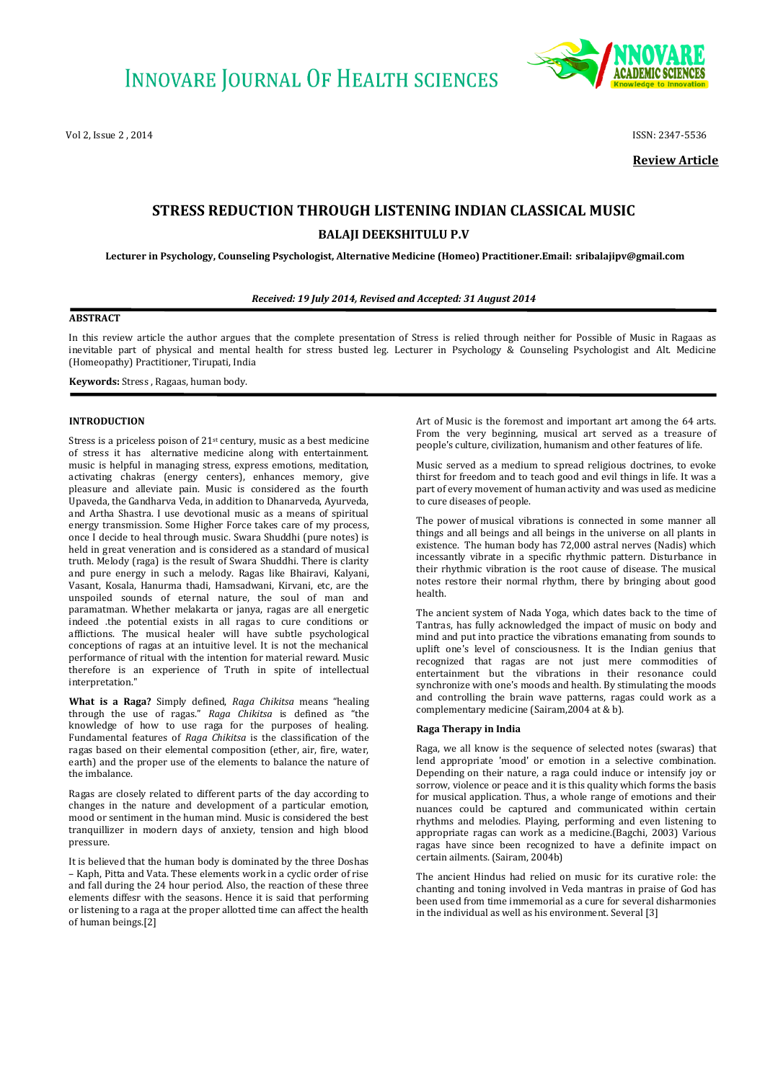

Vol 2, Issue 2 , 2014 **ISSN: 2347-5536** 

**Review Article**

# **STRESS REDUCTION THROUGH LISTENING INDIAN CLASSICAL MUSIC**

**BALAJI DEEKSHITULU P.V**

**Lecturer in Psychology, Counseling Psychologist, Alternative Medicine (Homeo) Practitioner.Email: sribalajipv@gmail.com**

## *Received: 19 July 2014, Revised and Accepted: 31 August 2014*

## **ABSTRACT**

In this review article the author argues that the complete presentation of Stress is relied through neither for Possible of Music in Ragaas as inevitable part of physical and mental health for stress busted leg. Lecturer in Psychology & Counseling Psychologist and Alt. Medicine (Homeopathy) Practitioner, Tirupati, India

**Keywords:** Stress , Ragaas, human body.

### **INTRODUCTION**

Stress is a priceless poison of  $21^{st}$  century, music as a best medicine of stress it has alternative medicine along with entertainment. music is helpful in managing stress, express emotions, meditation, activating chakras (energy centers), enhances memory, give pleasure and alleviate pain. Music is considered as the fourth Upaveda, the Gandharva Veda, in addition to Dhanarveda, Ayurveda, and Artha Shastra. I use devotional music as a means of spiritual energy transmission. Some Higher Force takes care of my process, once I decide to heal through music. Swara Shuddhi (pure notes) is held in great veneration and is considered as a standard of musical truth. Melody (raga) is the result of Swara Shuddhi. There is clarity and pure energy in such a melody. Ragas like Bhairavi, Kalyani, Vasant, Kosala, Hanurma thadi, Hamsadwani, Kirvani, etc, are the unspoiled sounds of eternal nature, the soul of man and paramatman. Whether melakarta or janya, ragas are all energetic indeed .the potential exists in all ragas to cure conditions or afflictions. The musical healer will have subtle psychological conceptions of ragas at an intuitive level. It is not the mechanical performance of ritual with the intention for material reward. Music therefore is an experience of Truth in spite of intellectual interpretation."

**What is a Raga?** Simply defined, *Raga Chikitsa* means "healing through the use of ragas." *Raga Chikitsa* is defined as "the knowledge of how to use raga for the purposes of healing. Fundamental features of *Raga Chikitsa* is the classification of the ragas based on their elemental composition (ether, air, fire, water, earth) and the proper use of the elements to balance the nature of the imbalance.

Ragas are closely related to different parts of the day according to changes in the nature and development of a particular emotion, mood or sentiment in the human mind. Music is considered the best tranquillizer in modern days of anxiety, tension and high blood pressure.

It is believed that the human body is dominated by the three Doshas – Kaph, Pitta and Vata. These elements work in a cyclic order of rise and fall during the 24 hour period. Also, the reaction of these three elements diffesr with the seasons. Hence it is said that performing or listening to a raga at the proper allotted time can affect the health of human beings.[2]

Art of Music is the foremost and important art among the 64 arts. From the very beginning, musical art served as a treasure of people's culture, civilization, humanism and other features of life.

Music served as a medium to spread religious doctrines, to evoke thirst for freedom and to teach good and evil things in life. It was a part of every movement of human activity and was used as medicine to cure diseases of people.

The power of musical vibrations is connected in some manner all things and all beings and all beings in the universe on all plants in existence. The human body has 72,000 astral nerves (Nadis) which incessantly vibrate in a specific rhythmic pattern. Disturbance in their rhythmic vibration is the root cause of disease. The musical notes restore their normal rhythm, there by bringing about good health.

The ancient system of Nada Yoga, which dates back to the time of Tantras, has fully acknowledged the impact of music on body and mind and put into practice the vibrations emanating from sounds to uplift one's level of consciousness. It is the Indian genius that recognized that ragas are not just mere commodities of entertainment but the vibrations in their resonance could synchronize with one's moods and health. By stimulating the moods and controlling the brain wave patterns, ragas could work as a complementary medicine (Sairam,2004 at & b).

### **Raga Therapy in India**

Raga, we all know is the sequence of selected notes (swaras) that lend appropriate 'mood' or emotion in a selective combination. Depending on their nature, a raga could induce or intensify joy or sorrow, violence or peace and it is this quality which forms the basis for musical application. Thus, a whole range of emotions and their nuances could be captured and communicated within certain rhythms and melodies. Playing, performing and even listening to appropriate ragas can work as a medicine.(Bagchi, 2003) Various ragas have since been recognized to have a definite impact on certain ailments. (Sairam, 2004b)

The ancient Hindus had relied on music for its curative role: the chanting and toning involved in Veda mantras in praise of God has been used from time immemorial as a cure for several disharmonies in the individual as well as his environment. Several [3]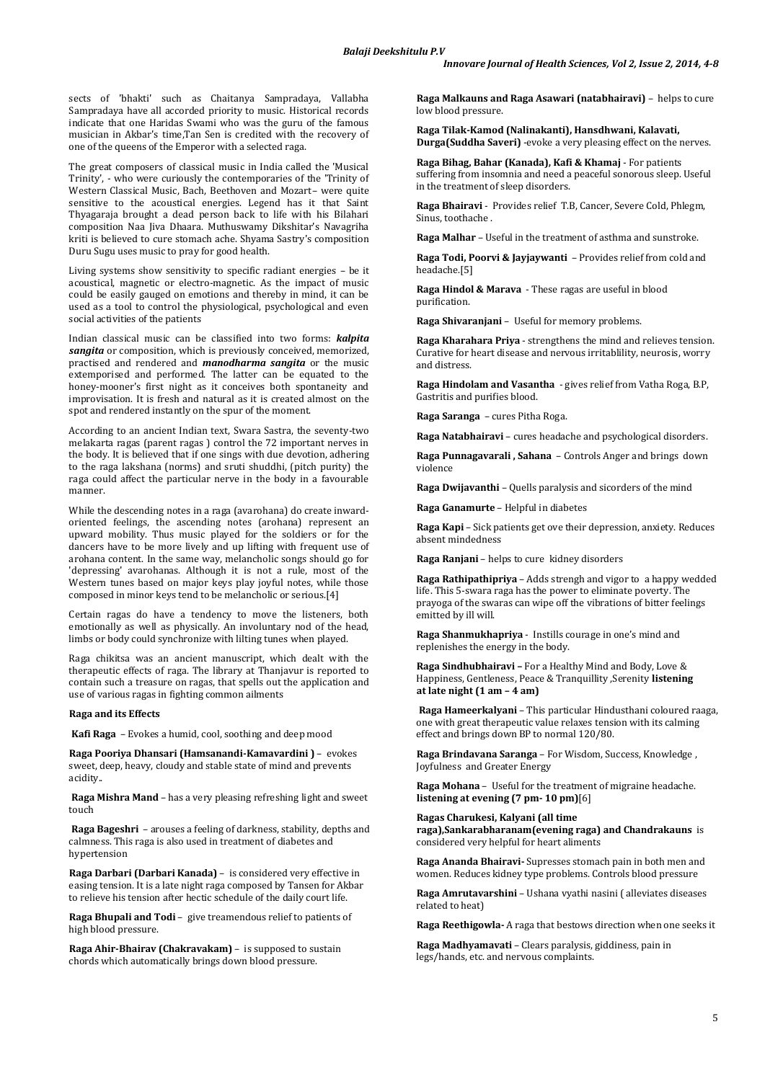sects of 'bhakti' such as Chaitanya Sampradaya, Vallabha Sampradaya have all accorded priority to music. Historical records indicate that one Haridas Swami who was the guru of the famous musician in Akbar's time,Tan Sen is credited with the recovery of one of the queens of the Emperor with a selected raga.

The great composers of classical music in India called the 'Musical Trinity', - who were curiously the contemporaries of the 'Trinity of Western Classical Music, Bach, Beethoven and Mozart– were quite sensitive to the acoustical energies. Legend has it that Saint Thyagaraja brought a dead person back to life with his Bilahari composition Naa Jiva Dhaara. Muthuswamy Dikshitar's Navagriha kriti is believed to cure stomach ache. Shyama Sastry's composition Duru Sugu uses music to pray for good health.

Living systems show sensitivity to specific radiant energies – be it acoustical, magnetic or electro-magnetic. As the impact of music could be easily gauged on emotions and thereby in mind, it can be used as a tool to control the physiological, psychological and even social activities of the patients

Indian classical music can be classified into two forms: *kalpita sangita* or composition, which is previously conceived, memorized, practised and rendered and *manodharma sangita* or the music extemporised and performed. The latter can be equated to the honey-mooner's first night as it conceives both spontaneity and improvisation. It is fresh and natural as it is created almost on the spot and rendered instantly on the spur of the moment.

According to an ancient Indian text, Swara Sastra, the seventy-two melakarta ragas (parent ragas ) control the 72 important nerves in the body. It is believed that if one sings with due devotion, adhering to the raga lakshana (norms) and sruti shuddhi, (pitch purity) the raga could affect the particular nerve in the body in a favourable manner.

While the descending notes in a raga (avarohana) do create inwardoriented feelings, the ascending notes (arohana) represent an upward mobility. Thus music played for the soldiers or for the dancers have to be more lively and up lifting with frequent use of arohana content. In the same way, melancholic songs should go for 'depressing' avarohanas. Although it is not a rule, most of the Western tunes based on major keys play joyful notes, while those composed in minor keys tend to be melancholic or serious.[4]

Certain ragas do have a tendency to move the listeners, both emotionally as well as physically. An involuntary nod of the head, limbs or body could synchronize with lilting tunes when played.

Raga chikitsa was an ancient manuscript, which dealt with the therapeutic effects of raga. The library at Thanjavur is reported to contain such a treasure on ragas, that spells out the application and use of various ragas in fighting common ailments

#### **Raga and its Effects**

**Kafi Raga** – Evokes a humid, cool, soothing and deep mood

**Raga Pooriya Dhansari (Hamsanandi-Kamavardini )** – evokes sweet, deep, heavy, cloudy and stable state of mind and prevents acidity..

**Raga Mishra Mand** – has a very pleasing refreshing light and sweet touch

**Raga Bageshri** – arouses a feeling of darkness, stability, depths and calmness. This raga is also used in treatment of diabetes and hypertension

**Raga Darbari (Darbari Kanada)** – is considered very effective in easing tension. It is a late night raga composed by Tansen for Akbar to relieve his tension after hectic schedule of the daily court life.

**Raga Bhupali and Todi** – give treamendous relief to patients of high blood pressure.

**Raga Ahir-Bhairav (Chakravakam)** – is supposed to sustain chords which automatically brings down blood pressure.

**Raga Malkauns and Raga Asawari (natabhairavi)** – helps to cure low blood pressure.

**Raga Tilak-Kamod (Nalinakanti), Hansdhwani, Kalavati, Durga(Suddha Saveri)** -evoke a very pleasing effect on the nerves.

**Raga Bihag, Bahar (Kanada), Kafi & Khamaj** - For patients suffering from insomnia and need a peaceful sonorous sleep. Useful in the treatment of sleep disorders.

**Raga Bhairavi** - Provides relief T.B, Cancer, Severe Cold, Phlegm, Sinus, toothache .

**Raga Malhar** – Useful in the treatment of asthma and sunstroke.

**Raga Todi, Poorvi & Jayjaywanti** – Provides relief from cold and headache.[5]

**Raga Hindol & Marava** - These ragas are useful in blood purification.

**Raga Shivaranjani** – Useful for memory problems.

**Raga Kharahara Priya** - strengthens the mind and relieves tension. Curative for heart disease and nervous irritablility, neurosis, worry and distress.

**Raga Hindolam and Vasantha** - gives relief from Vatha Roga, B.P, Gastritis and purifies blood.

**Raga Saranga** – cures Pitha Roga.

**Raga Natabhairavi** – cures headache and psychological disorders.

**Raga Punnagavarali , Sahana** – Controls Anger and brings down violence

**Raga Dwijavanthi** – Quells paralysis and sicorders of the mind

**Raga Ganamurte** – Helpful in diabetes

**Raga Kapi** – Sick patients get ove their depression, anxiety. Reduces absent mindedness

**Raga Ranjani** – helps to cure kidney disorders

**Raga Rathipathipriya** – Adds strengh and vigor to a happy wedded life. This 5-swara raga has the power to eliminate poverty. The prayoga of the swaras can wipe off the vibrations of bitter feelings emitted by ill will.

**Raga Shanmukhapriya** - Instills courage in one's mind and replenishes the energy in the body.

**Raga Sindhubhairavi –** For a Healthy Mind and Body, Love & Happiness, Gentleness, Peace & Tranquillity ,Serenity **listening at late night (1 am – 4 am)**

**Raga Hameerkalyani** – This particular Hindusthani coloured raaga, one with great therapeutic value relaxes tension with its calming effect and brings down BP to normal 120/80.

**Raga Brindavana Saranga** – For Wisdom, Success, Knowledge , Joyfulness and Greater Energy

**Raga Mohana** – Useful for the treatment of migraine headache. **listening at evening (7 pm- 10 pm)**[6]

**Ragas Charukesi, Kalyani (all time raga),Sankarabharanam(evening raga) and Chandrakauns** is considered very helpful for heart aliments

**Raga Ananda Bhairavi-** Supresses stomach pain in both men and women. Reduces kidney type problems. Controls blood pressure

**Raga Amrutavarshini** – Ushana vyathi nasini ( alleviates diseases related to heat)

**Raga Reethigowla-** A raga that bestows direction when one seeks it

**Raga Madhyamavati** – Clears paralysis, giddiness, pain in legs/hands, etc. and nervous complaints.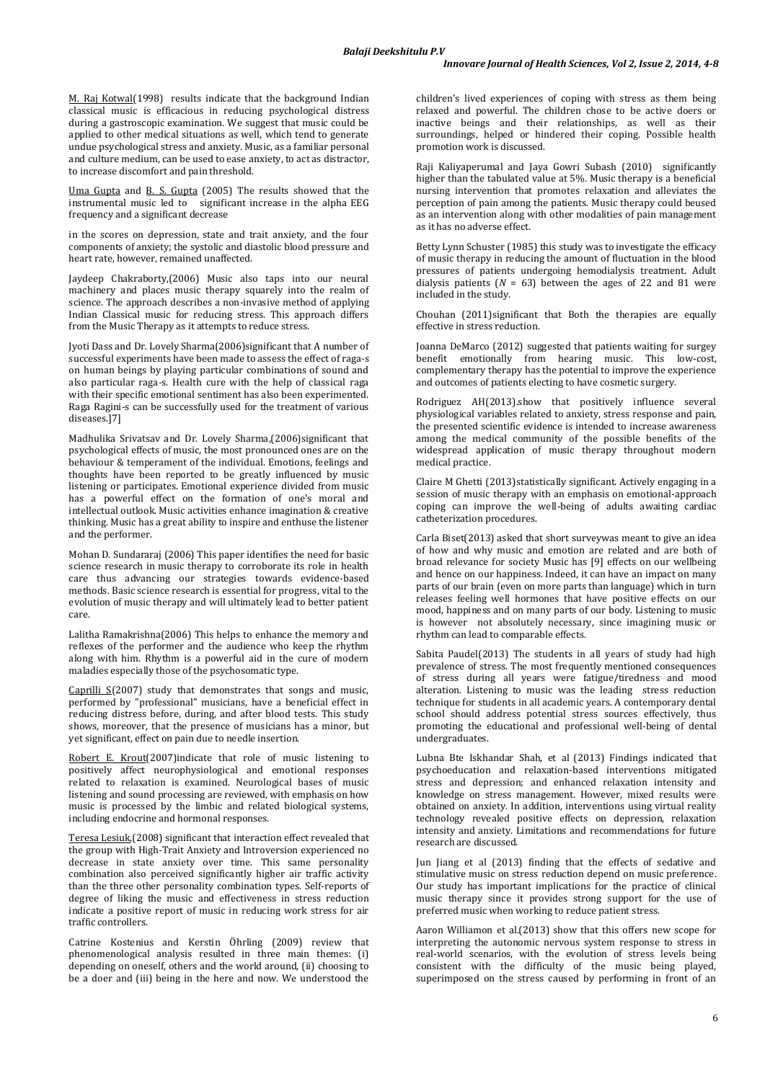[M. Raj Kotwal\(](http://www.ncbi.nlm.nih.gov/pubmed/?term=Kotwal%20MR%5Bauth%5D)1998) results indicate that the background Indian classical music is efficacious in reducing psychological distress during a gastroscopic examination. We suggest that music could be applied to other medical situations as well, which tend to generate undue psychological stress and anxiety. Music, as a familiar personal and culture medium, can be used to ease anxiety, to act as distractor, to increase discomfort and pain threshold.

[Uma Gupta](http://pom.sagepub.com/search?author1=Uma+Gupta&sortspec=date&submit=Submit) and [B. S. Gupta](http://pom.sagepub.com/search?author1=B.+S.+Gupta&sortspec=date&submit=Submit) (2005) The results showed that the instrumental music led to significant increase in the alpha EEG frequency and a significant decrease

in the scores on depression, state and trait anxiety, and the four components of anxiety; the systolic and diastolic blood pressure and heart rate, however, remained unaffected.

Jaydeep Chakraborty,(2006) Music also taps into our neural machinery and places music therapy squarely into the realm of science. The approach describes a non-invasive method of applying Indian Classical music for reducing stress. This approach differs from the Music Therapy as it attempts to reduce stress.

Jyoti Dass and Dr. Lovely Sharma(2006)significant that A number of successful experiments have been made to assess the effect of raga-s on human beings by playing particular combinations of sound and also particular raga-s. Health cure with the help of classical raga with their specific emotional sentiment has also been experimented. Raga Ragini-s can be successfully used for the treatment of various diseases.]7]

Madhulika Srivatsav and Dr. Lovely Sharma,(2006)significant that psychological effects of music, the most pronounced ones are on the behaviour & temperament of the individual. Emotions, feelings and thoughts have been reported to be greatly influenced by music listening or participates. Emotional experience divided from music has a powerful effect on the formation of one's moral and intellectual outlook. Music activities enhance imagination & creative thinking. Music has a great ability to inspire and enthuse the listener and the performer.

Mohan D. Sundararaj (2006) This paper identifies the need for basic science research in music therapy to corroborate its role in health care thus advancing our strategies towards evidence-based methods. Basic science research is essential for progress, vital to the evolution of music therapy and will ultimately lead to better patient care.

Lalitha Ramakrishna(2006) This helps to enhance the memory and reflexes of the performer and the audience who keep the rhythm along with him. Rhythm is a powerful aid in the cure of modern maladies especially those of the psychosomatic type.

[Caprilli S\(](http://www.ncbi.nlm.nih.gov/pubmed?term=Caprilli%20S%5BAuthor%5D&cauthor=true&cauthor_uid=18049324)2007) study that demonstrates that songs and music, performed by "professional" musicians, have a beneficial effect in reducing distress before, during, and after blood tests. This study shows, moreover, that the presence of musicians has a minor, but yet significant, effect on pain due to needle insertion.

[Robert E. Krout\(](http://www.sciencedirect.com/science/article/pii/S0197455606001080)2007)indicate that role of music listening to positively affect neurophysiological and emotional responses related to relaxation is examined. Neurological bases of music listening and sound processing are reviewed, with emphasis on how music is processed by the limbic and related biological systems, including endocrine and hormonal responses.

[Teresa Lesiuk,\(](http://www.sciencedirect.com/science/article/pii/S0197455607000639)2008) significant that interaction effect revealed that the group with High-Trait Anxiety and Introversion experienced no decrease in state anxiety over time. This same personality combination also perceived significantly higher air traffic activity than the three other personality combination types. Self-reports of degree of liking the music and effectiveness in stress reduction indicate a positive report of music in reducing work stress for air traffic controllers.

Catrine Kostenius and Kerstin Öhrling (2009) review that phenomenological analysis resulted in three main themes: (i) depending on oneself, others and the world around, (ii) choosing to be a doer and (iii) being in the here and now. We understood the

children's lived experiences of coping with stress as them being relaxed and powerful. The children chose to be active doers or inactive beings and their relationships, as well as their surroundings, helped or hindered their coping. Possible health promotion work is discussed.

Raji Kaliyaperumal and Jaya Gowri Subash (2010) significantly higher than the tabulated value at 5%. Music therapy is a beneficial nursing intervention that promotes relaxation and alleviates the perception of pain among the patients. Music therapy could beused as an intervention along with other modalities of pain management as it has no adverse effect.

[Betty Lynn Schuster](http://jmt.oxfordjournals.org/search?author1=Betty+Lynn+Schuster&sortspec=date&submit=Submit) (1985) this study was to investigate the efficacy of music therapy in reducing the amount of fluctuation in the blood pressures of patients undergoing hemodialysis treatment. Adult dialysis patients  $(N = 63)$  between the ages of 22 and 81 were included in the study.

Chouhan (2011)significant that Both the therapies are equally effective in stress reduction.

Joanna DeMarco (2012) suggested that patients waiting for surgey benefit emotionally from hearing music. This low-cost, complementary therapy has the potential to improve the experience and outcomes of patients electing to have cosmetic surgery.

Rodriguez AH(2013).show that positively influence several physiological variables related to anxiety, stress response and pain, the presented scientific evidence is intended to increase awareness among the medical community of the possible benefits of the widespread application of music therapy throughout modern medical practice.

[Claire M Ghetti](http://www.researchgate.net/researcher/2035137427_Claire_M_Ghetti/) (2013)statistically significant. Actively engaging in a session of music therapy with an emphasis on emotional-approach coping can improve the well-being of adults awaiting cardiac catheterization procedures.

Carla Biset(2013) asked that short surveywas meant to give an idea of how and why music and emotion are related and are both of broad relevance for society Music has [9] effects on our wellbeing and hence on our happiness. Indeed, it can have an impact on many parts of our brain (even on more parts than language) which in turn releases feeling well hormones that have positive effects on our mood, happiness and on many parts of our body. Listening to music is however not absolutely necessary, since imagining music or rhythm can lead to comparable effects.

Sabita Paudel(2013) The students in all years of study had high prevalence of stress. The most frequently mentioned consequences of stress during all years were fatigue/tiredness and mood alteration. Listening to music was the leading stress reduction technique for students in all academic years. A contemporary dental school should address potential stress sources effectively, thus promoting the educational and professional well-being of dental undergraduates.

[Lubna Bte Iskhandar Shah,](http://www.sciencedirect.com/science/article/pii/S088394171300143X) et al (2013) Findings indicated that psychoeducation and relaxation-based interventions mitigated stress and depression; and enhanced relaxation intensity and knowledge on stress management. However, mixed results were obtained on anxiety. In addition, interventions using virtual reality technology revealed positive effects on depression, relaxation intensity and anxiety. Limitations and recommendations for future research are discussed.

[Jun Jiang](http://www.sciencedirect.com/science/article/pii/S0197455613000725) et al (2013) finding that the effects of sedative and stimulative music on stress reduction depend on music preference. Our study has important implications for the practice of clinical music therapy since it provides strong support for the use of preferred music when working to reduce patient stress.

[Aaron Williamon](http://171.66.127.193/search?author1=Aaron+Williamon&sortspec=date&submit=Submit) et al.(2013) show that this offers new scope for interpreting the autonomic nervous system response to stress in real-world scenarios, with the evolution of stress levels being consistent with the difficulty of the music being played, superimposed on the stress caused by performing in front of an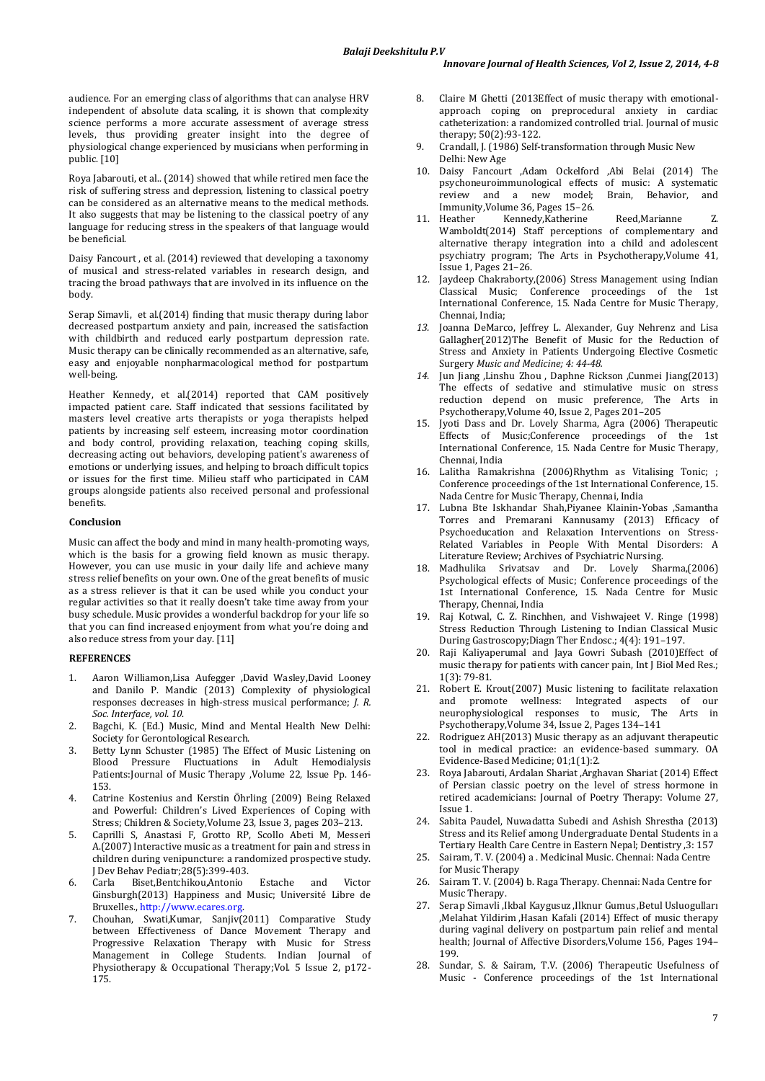audience. For an emerging class of algorithms that can analyse HRV independent of absolute data scaling, it is shown that complexity science performs a more accurate assessment of average stress levels, thus providing greater insight into the degree of physiological change experienced by musicians when performing in public. [10]

[Roya Jabarouti,](http://www.tandfonline.com/action/doSearch?action=runSearch&type=advanced&searchType=journal&result=true&prevSearch=%2Bauthorsfield%3A%28Jabarouti%2C+R%29) et al.. (2014) showed that while retired men face the risk of suffering stress and depression, listening to classical poetry can be considered as an alternative means to the medical methods. It also suggests that may be listening to the classical poetry of any language for reducing stress in the speakers of that language would be beneficial.

[Daisy Fancourt](http://www.sciencedirect.com/science/article/pii/S0889159113005138) , et al. (2014) reviewed that developing a taxonomy of musical and stress-related variables in research design, and tracing the broad pathways that are involved in its influence on the body.

[Serap Simavli,](http://www.sciencedirect.com/science/article/pii/S0165032713008677) et al.(2014) finding that music therapy during labor decreased postpartum anxiety and pain, increased the satisfaction with childbirth and reduced early postpartum depression rate. Music therapy can be clinically recommended as an alternative, safe, easy and enjoyable nonpharmacological method for postpartum well-being.

[Heather Kennedy,](http://www.sciencedirect.com/science/article/pii/S0197455613001706) et al.(2014) reported that CAM positively impacted patient care. Staff indicated that sessions facilitated by masters level creative arts therapists or yoga therapists helped patients by increasing self esteem, increasing motor coordination and body control, providing relaxation, teaching coping skills, decreasing acting out behaviors, developing patient's awareness of emotions or underlying issues, and helping to broach difficult topics or issues for the first time. Milieu staff who participated in CAM groups alongside patients also received personal and professional benefits.

#### **Conclusion**

Music can affect the body and mind in many health-promoting ways, which is the basis for a growing field known as [music therapy.](http://stress.about.com/od/tensiontamers/a/music_therapy.htm)  However, you can use music in your daily life and achieve many stress relief benefits on your own. One of the great benefits of music as a stress reliever is that it can be used while you conduct your regular activities so that it really doesn't take time away from your busy schedule. Music provides a wonderful backdrop for your life so that you can find increased enjoyment from what you're doing and also reduce stress from your day. [11]

### **REFERENCES**

- 1. [Aaron Williamon,](http://171.66.127.193/search?author1=Aaron+Williamon&sortspec=date&submit=Submit)[Lisa Aufegger](http://171.66.127.193/search?author1=Lisa+Aufegger&sortspec=date&submit=Submit) [,David Wasley,](http://171.66.127.193/search?author1=David+Wasley&sortspec=date&submit=Submit)[David Looney](http://171.66.127.193/search?author1=David+Looney&sortspec=date&submit=Submit) and [Danilo P. Mandic](http://171.66.127.193/search?author1=Danilo+P.+Mandic&sortspec=date&submit=Submit) (2013) Complexity of physiological responses decreases in high-stress musical performance; *J. R. Soc. Interface, vol. 10*.
- 2. Bagchi, K. (Ed.) Music, Mind and Mental Health New Delhi: Society for Gerontological Research.
- 3. [Betty Lynn Schuster](http://jmt.oxfordjournals.org/search?author1=Betty+Lynn+Schuster&sortspec=date&submit=Submit) (1985) The Effect of Music Listening on Blood Pressure Fluctuations in Adult Hemodialysis Patients[:Journal of Music Therapy](http://jmt.oxfordjournals.org/) ,Volume 22, Issue Pp. 146- 153.
- 4. Catrine Kostenius and Kerstin Öhrling (2009) Being Relaxed and Powerful: Children's Lived Experiences of Coping with Stress; Children & Societ[y,Volume 23, Issue 3, p](http://onlinelibrary.wiley.com/doi/10.1111/chso.2009.23.issue-3/issuetoc)ages 203–213.
- 5. [Caprilli S,](http://www.ncbi.nlm.nih.gov/pubmed?term=Caprilli%20S%5BAuthor%5D&cauthor=true&cauthor_uid=18049324) [Anastasi F,](http://www.ncbi.nlm.nih.gov/pubmed?term=Anastasi%20F%5BAuthor%5D&cauthor=true&cauthor_uid=18049324) [Grotto RP,](http://www.ncbi.nlm.nih.gov/pubmed?term=Grotto%20RP%5BAuthor%5D&cauthor=true&cauthor_uid=18049324) [Scollo Abeti M,](http://www.ncbi.nlm.nih.gov/pubmed?term=Scollo%20Abeti%20M%5BAuthor%5D&cauthor=true&cauthor_uid=18049324) [Messeri](http://www.ncbi.nlm.nih.gov/pubmed?term=Messeri%20A%5BAuthor%5D&cauthor=true&cauthor_uid=18049324)  [A.\(](http://www.ncbi.nlm.nih.gov/pubmed?term=Messeri%20A%5BAuthor%5D&cauthor=true&cauthor_uid=18049324)2007) Interactive music as a treatment for pain and stress in children during venipuncture: a randomized prospective study. J Dev Behav Pediatr;28(5):399-403.
- 6. Carla Biset,Bentchikou,Antonio Estache and Victor Ginsburgh(2013) Happiness and Music; Université Libre de Bruxelles.[, http://www.ecares.org.](http://www.ecares.org/)
- 7. Chouhan, Swati,Kumar, Sanjiv(2011) Comparative Study between Effectiveness of Dance Movement Therapy and Progressive Relaxation Therapy with Music for Stress Management in College Students. Indian Journal of Physiotherapy & Occupational Therapy;Vol. 5 Issue 2, p172- 175.
- 8. [Claire M Ghetti](http://www.researchgate.net/researcher/2035137427_Claire_M_Ghetti/) (201[3Effect of music therapy with emotional](http://www.researchgate.net/publication/258041708_Effect_of_music_therapy_with_emotional-approach_coping_on_preprocedural_anxiety_in_cardiac_catheterization_a_randomized_controlled_trial)[approach coping on preprocedural anxiety in cardiac](http://www.researchgate.net/publication/258041708_Effect_of_music_therapy_with_emotional-approach_coping_on_preprocedural_anxiety_in_cardiac_catheterization_a_randomized_controlled_trial)  [catheterization: a randomized controlled trial. J](http://www.researchgate.net/publication/258041708_Effect_of_music_therapy_with_emotional-approach_coping_on_preprocedural_anxiety_in_cardiac_catheterization_a_randomized_controlled_trial)ournal of music therapy; 50(2):93-122.
- 9. Crandall, J. (1986) Self-transformation through Music New Delhi: New Age
- 10. [Daisy Fancourt](http://www.sciencedirect.com/science/article/pii/S0889159113005138) [,Adam Ockelford](http://www.sciencedirect.com/science/article/pii/S0889159113005138) [,Abi Belai](http://www.sciencedirect.com/science/article/pii/S0889159113005138) (2014) The psychoneuroimmunological effects of music: A systematic review and a new model; [Brain, Behavior, and](http://www.sciencedirect.com/science/journal/08891591)  [Immunity,](http://www.sciencedirect.com/science/journal/08891591) [Volume 36,](http://www.sciencedirect.com/science/journal/08891591/36/supp/C) Pages 15-26.<br>11. Heather Kennedy, Katherine
- Kennedy, Katherine Reed, Marianne Z. [Wamboldt\(](http://www.sciencedirect.com/science/article/pii/S0197455613001706)2014) Staff perceptions of complementary and alternative therapy integration into a child and adolescent psychiatry program; [The Arts in Psychotherapy,](http://www.sciencedirect.com/science/journal/01974556)[Volume 41,](http://www.sciencedirect.com/science/journal/01974556/41/1)  [Issue 1,](http://www.sciencedirect.com/science/journal/01974556/41/1) Pages 21–26.
- 12. Jaydeep Chakraborty,(2006) Stress Management using Indian Classical Music; Conference proceedings of the 1st International Conference, 15. Nada Centre for Music Therapy, Chennai, India;
- *13.* Joanna DeMarco, Jeffrey L. Alexander, Guy Nehrenz and Lisa Gallagher(2012)The Benefit of Music for the Reduction of Stress and Anxiety in Patients Undergoing Elective Cosmetic Surgery *Music and Medicine; 4: 44-48.*
- *14.* [Jun Jiang](http://www.sciencedirect.com/science/article/pii/S0197455613000725) [,Linshu Zhou](http://www.sciencedirect.com/science/article/pii/S0197455613000725) , [Daphne Rickson](http://www.sciencedirect.com/science/article/pii/S0197455613000725) [,Cunmei Jiang\(](http://www.sciencedirect.com/science/article/pii/S0197455613000725)2013) The effects of sedative and stimulative music on stress reduction depend on music preference, [The Arts in](http://www.sciencedirect.com/science/journal/01974556)  [Psychotherapy,](http://www.sciencedirect.com/science/journal/01974556)[Volume 40, Issue 2,](http://www.sciencedirect.com/science/journal/01974556/40/2) Pages 201–205
- 15. Jyoti Dass and Dr. Lovely Sharma, Agra (2006) Therapeutic Effects of Music;Conference proceedings of the 1st International Conference, 15. Nada Centre for Music Therapy, Chennai, India
- Lalitha Ramakrishna (2006)Rhythm as Vitalising Tonic; ; Conference proceedings of the 1st International Conference, 15. Nada Centre for Music Therapy, Chennai, India
- 17. [Lubna Bte Iskhandar Shah,Piyanee Klainin-Yobas](http://www.sciencedirect.com/science/article/pii/S088394171300143X) [,Samantha](http://www.sciencedirect.com/science/article/pii/S088394171300143X)  [Torres](http://www.sciencedirect.com/science/article/pii/S088394171300143X) and [Premarani Kannusamy](http://www.sciencedirect.com/science/article/pii/S088394171300143X) (2013) Efficacy of Psychoeducation and Relaxation Interventions on Stress-Related Variables in People With Mental Disorders: A Literature Review[; Archives of Psychiatric Nursing.](http://www.sciencedirect.com/science/journal/08839417)
- 18. Madhulika Srivatsav and Dr. Lovely Sharma,(2006) Psychological effects of Music; Conference proceedings of the 1st International Conference, 15. Nada Centre for Music Therapy, Chennai, India
- [Raj Kotwal,](http://www.ncbi.nlm.nih.gov/pubmed/?term=Kotwal%20MR%5Bauth%5D) [C. Z. Rinchhen,](http://www.ncbi.nlm.nih.gov/pubmed/?term=Rinchhen%20CZ%5Bauth%5D) and [Vishwajeet V. Ringe](http://www.ncbi.nlm.nih.gov/pubmed/?term=Ringe%20VV%5Bauth%5D) (1998) Stress Reduction Through Listening to Indian Classical Music During Gastroscopy;Diagn Ther Endosc.; 4(4): 191–197.
- 20. Raji Kaliyaperumal and Jaya Gowri Subash (2010)Effect of music therapy for patients with cancer pain, Int J Biol Med Res.; 1(3): 79-81.
- 21. [Robert E. Krout\(](http://www.sciencedirect.com/science/article/pii/S0197455606001080)2007) Music listening to facilitate relaxation and promote wellness: Integrated aspects of our neurophysiological responses to music, [The Arts in](http://www.sciencedirect.com/science/journal/01974556)  [Psychotherapy,](http://www.sciencedirect.com/science/journal/01974556)[Volume 34, Issue 2,](http://www.sciencedirect.com/science/journal/01974556/34/2) Pages 134–141
- 22. Rodriguez AH(2013) Music therapy as an adjuvant therapeutic tool in medical practice: an evidence-based summary. OA Evidence-Based Medicine; 01;1(1):2.
- 23. [Roya Jabarouti,](http://www.tandfonline.com/action/doSearch?action=runSearch&type=advanced&searchType=journal&result=true&prevSearch=%2Bauthorsfield%3A%28Jabarouti%2C+R%29) [Ardalan Shariat,Arghavan Shariat](http://www.tandfonline.com/action/doSearch?action=runSearch&type=advanced&searchType=journal&result=true&prevSearch=%2Bauthorsfield%3A%28Shariat%2C+A%29) (2014) Effect of Persian classic poetry on the level of stress hormone in retired academicians: Journal of Poetry Therapy: [Volume 27,](http://www.tandfonline.com/loi/tjpt20?open=27#vol_27)  Issue 1.
- 24. Sabita Paudel, Nuwadatta Subedi and Ashish Shrestha (2013) Stress and its Relief among Undergraduate Dental Students in a Tertiary Health Care Centre in Eastern Nepal; Dentistry ,3: 157
- 25. Sairam, T. V. (2004) a . Medicinal Music. Chennai: Nada Centre for Music Therapy
- 26. Sairam T. V. (2004) b. Raga Therapy. Chennai: Nada Centre for Music Therapy.
- 27. [Serap Simavli](http://www.sciencedirect.com/science/article/pii/S0165032713008677) [,Ikbal Kaygusuz](http://www.sciencedirect.com/science/article/pii/S0165032713008677) [,Ilknur Gumus](http://www.sciencedirect.com/science/article/pii/S0165032713008677) ,[Betul Usluogulları](http://www.sciencedirect.com/science/article/pii/S0165032713008677) [,Melahat Yildirim](http://www.sciencedirect.com/science/article/pii/S0165032713008677) [,Hasan Kafali](http://www.sciencedirect.com/science/article/pii/S0165032713008677) (2014) Effect of music therapy during vaginal delivery on postpartum pain relief and mental health[; Journal of Affective Disorders,](http://www.sciencedirect.com/science/journal/01650327)[Volume 156,](http://www.sciencedirect.com/science/journal/01650327/156/supp/C) Pages 194– 199.
- 28. Sundar, S. & Sairam, T.V. (2006) Therapeutic Usefulness of Music - Conference proceedings of the 1st International